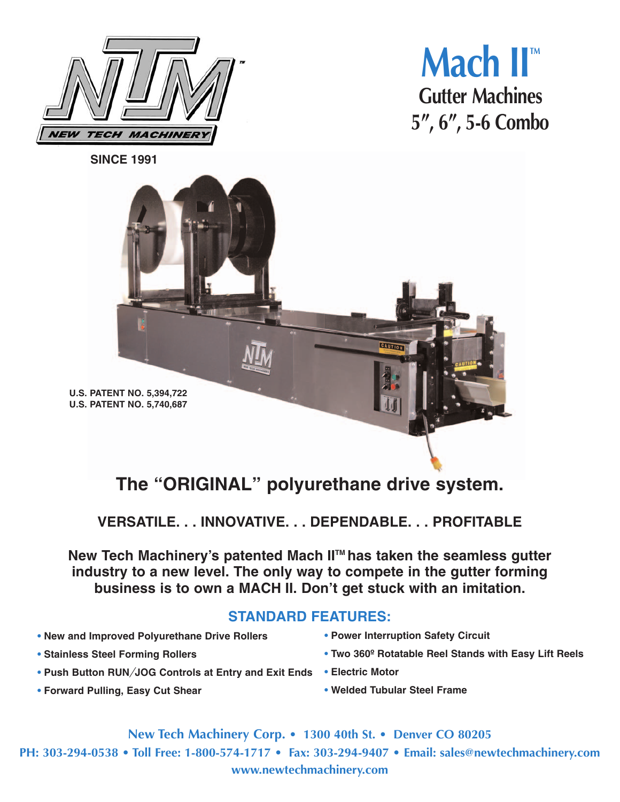



**SINCE 1991**



## **The "ORIGINAL" polyurethane drive system.**

**VERSATILE. . . INNOVATIVE. . . DEPENDABLE. . . PROFITABLE**

New Tech Machinery's patented Mach II<sup>™</sup> has taken the seamless gutter **industry to a new level. The only way to compete in the gutter forming business is to own a MACH II. Don't get stuck with an imitation.**

## **STANDARD FEATURES:**

- **• New and Improved Polyurethane Drive Rollers**
- **• Stainless Steel Forming Rollers**
- **• Push Button RUN***/***JOG Controls at Entry and Exit Ends • Electric Motor**
- **• Forward Pulling, Easy Cut Shear**
- **• Power Interruption Safety Circuit**
- **• Two 360º Rotatable Reel Stands with Easy Lift Reels**
- 
- **• Welded Tubular Steel Frame**

**New Tech Machinery Corp. • 1300 40th St. • Denver CO 80205 PH: 303-294-0538 • Toll Free: 1-800-574-1717 • Fax: 303-294-9407 • Email: sales@newtechmachinery.com**

**www.newtechmachinery.com**